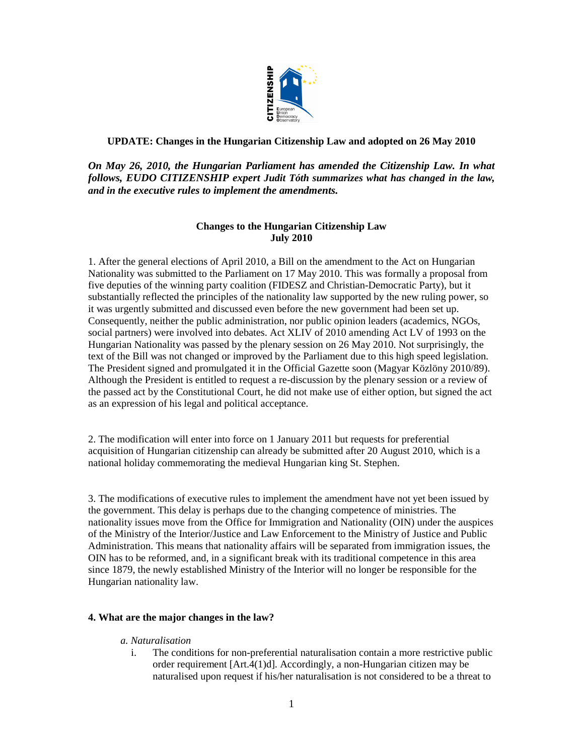

### **UPDATE: Changes in the Hungarian Citizenship Law and adopted on 26 May 2010**

*On May 26, 2010, the Hungarian Parliament has amended the Citizenship Law. In what follows, EUDO CITIZENSHIP expert Judit Tóth summarizes what has changed in the law, and in the executive rules to implement the amendments.* 

# **Changes to the Hungarian Citizenship Law July 2010**

1. After the general elections of April 2010, a Bill on the amendment to the Act on Hungarian Nationality was submitted to the Parliament on 17 May 2010. This was formally a proposal from five deputies of the winning party coalition (FIDESZ and Christian-Democratic Party), but it substantially reflected the principles of the nationality law supported by the new ruling power, so it was urgently submitted and discussed even before the new government had been set up. Consequently, neither the public administration, nor public opinion leaders (academics, NGOs, social partners) were involved into debates. Act XLIV of 2010 amending Act LV of 1993 on the Hungarian Nationality was passed by the plenary session on 26 May 2010. Not surprisingly, the text of the Bill was not changed or improved by the Parliament due to this high speed legislation. The President signed and promulgated it in the Official Gazette soon (Magyar Közlöny 2010/89). Although the President is entitled to request a re-discussion by the plenary session or a review of the passed act by the Constitutional Court, he did not make use of either option, but signed the act as an expression of his legal and political acceptance.

2. The modification will enter into force on 1 January 2011 but requests for preferential acquisition of Hungarian citizenship can already be submitted after 20 August 2010, which is a national holiday commemorating the medieval Hungarian king St. Stephen.

3. The modifications of executive rules to implement the amendment have not yet been issued by the government. This delay is perhaps due to the changing competence of ministries. The nationality issues move from the Office for Immigration and Nationality (OIN) under the auspices of the Ministry of the Interior/Justice and Law Enforcement to the Ministry of Justice and Public Administration. This means that nationality affairs will be separated from immigration issues, the OIN has to be reformed, and, in a significant break with its traditional competence in this area since 1879, the newly established Ministry of the Interior will no longer be responsible for the Hungarian nationality law.

### **4. What are the major changes in the law?**

### *a. Naturalisation*

i. The conditions for non-preferential naturalisation contain a more restrictive public order requirement [Art.4(1)d]. Accordingly, a non-Hungarian citizen may be naturalised upon request if his/her naturalisation is not considered to be a threat to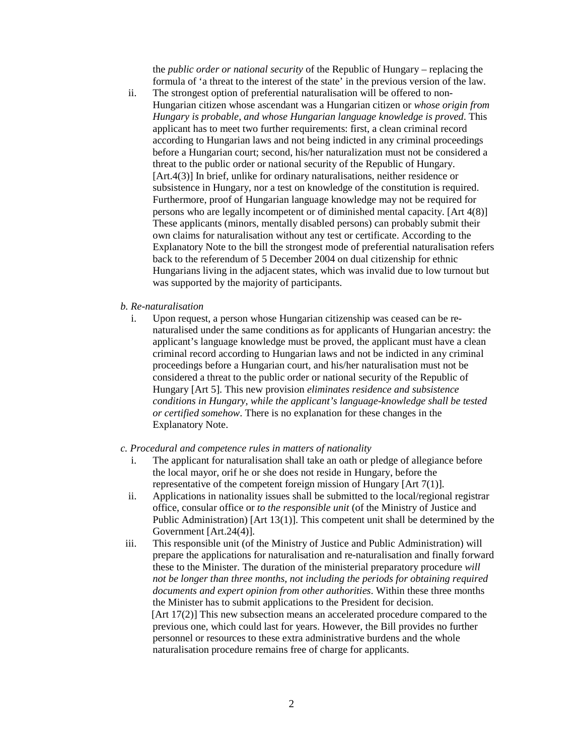the *public order or national security* of the Republic of Hungary – replacing the formula of 'a threat to the interest of the state' in the previous version of the law.

ii. The strongest option of preferential naturalisation will be offered to non-Hungarian citizen whose ascendant was a Hungarian citizen or *whose origin from Hungary is probable, and whose Hungarian language knowledge is proved*. This applicant has to meet two further requirements: first, a clean criminal record according to Hungarian laws and not being indicted in any criminal proceedings before a Hungarian court; second, his/her naturalization must not be considered a threat to the public order or national security of the Republic of Hungary. [Art.4(3)] In brief, unlike for ordinary naturalisations, neither residence or subsistence in Hungary, nor a test on knowledge of the constitution is required. Furthermore, proof of Hungarian language knowledge may not be required for persons who are legally incompetent or of diminished mental capacity. [Art 4(8)] These applicants (minors, mentally disabled persons) can probably submit their own claims for naturalisation without any test or certificate. According to the Explanatory Note to the bill the strongest mode of preferential naturalisation refers back to the referendum of 5 December 2004 on dual citizenship for ethnic Hungarians living in the adjacent states, which was invalid due to low turnout but was supported by the majority of participants.

#### *b. Re-naturalisation*

i. Upon request, a person whose Hungarian citizenship was ceased can be renaturalised under the same conditions as for applicants of Hungarian ancestry: the applicant's language knowledge must be proved, the applicant must have a clean criminal record according to Hungarian laws and not be indicted in any criminal proceedings before a Hungarian court, and his/her naturalisation must not be considered a threat to the public order or national security of the Republic of Hungary [Art 5]. This new provision *eliminates residence and subsistence conditions in Hungary, while the applicant's language-knowledge shall be tested or certified somehow*. There is no explanation for these changes in the Explanatory Note.

#### *c. Procedural and competence rules in matters of nationality*

- i. The applicant for naturalisation shall take an oath or pledge of allegiance before the local mayor, orif he or she does not reside in Hungary, before the representative of the competent foreign mission of Hungary [Art 7(1)].
- ii. Applications in nationality issues shall be submitted to the local/regional registrar office, consular office or *to the responsible unit* (of the Ministry of Justice and Public Administration) [Art 13(1)]. This competent unit shall be determined by the Government [Art.24(4)].
- iii. This responsible unit (of the Ministry of Justice and Public Administration) will prepare the applications for naturalisation and re-naturalisation and finally forward these to the Minister. The duration of the ministerial preparatory procedure *will not be longer than three months, not including the periods for obtaining required documents and expert opinion from other authorities*. Within these three months the Minister has to submit applications to the President for decision. [Art 17(2)] This new subsection means an accelerated procedure compared to the previous one, which could last for years. However, the Bill provides no further personnel or resources to these extra administrative burdens and the whole naturalisation procedure remains free of charge for applicants.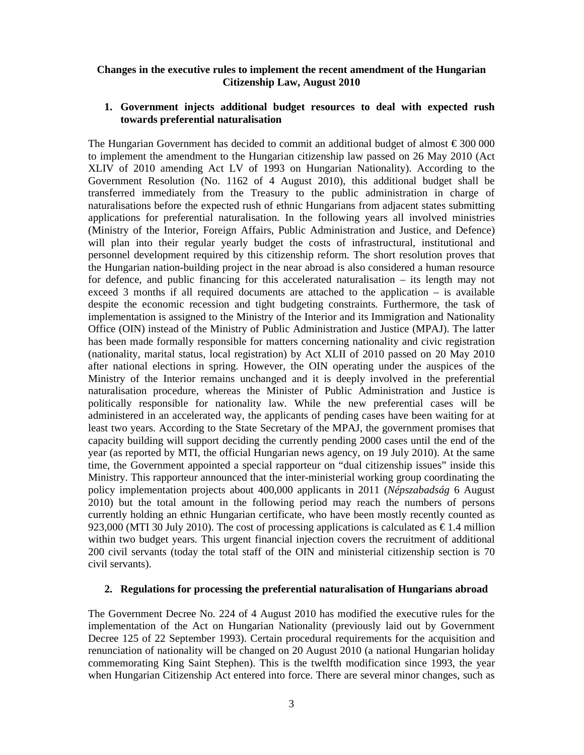### **Changes in the executive rules to implement the recent amendment of the Hungarian Citizenship Law, August 2010**

## **1. Government injects additional budget resources to deal with expected rush towards preferential naturalisation**

The Hungarian Government has decided to commit an additional budget of almost  $\epsilon$  300 000 to implement the amendment to the Hungarian citizenship law passed on 26 May 2010 (Act XLIV of 2010 amending Act LV of 1993 on Hungarian Nationality). According to the Government Resolution (No. 1162 of 4 August 2010), this additional budget shall be transferred immediately from the Treasury to the public administration in charge of naturalisations before the expected rush of ethnic Hungarians from adjacent states submitting applications for preferential naturalisation. In the following years all involved ministries (Ministry of the Interior, Foreign Affairs, Public Administration and Justice, and Defence) will plan into their regular yearly budget the costs of infrastructural, institutional and personnel development required by this citizenship reform. The short resolution proves that the Hungarian nation-building project in the near abroad is also considered a human resource for defence, and public financing for this accelerated naturalisation – its length may not exceed 3 months if all required documents are attached to the application – is available despite the economic recession and tight budgeting constraints. Furthermore, the task of implementation is assigned to the Ministry of the Interior and its Immigration and Nationality Office (OIN) instead of the Ministry of Public Administration and Justice (MPAJ). The latter has been made formally responsible for matters concerning nationality and civic registration (nationality, marital status, local registration) by Act XLII of 2010 passed on 20 May 2010 after national elections in spring. However, the OIN operating under the auspices of the Ministry of the Interior remains unchanged and it is deeply involved in the preferential naturalisation procedure, whereas the Minister of Public Administration and Justice is politically responsible for nationality law. While the new preferential cases will be administered in an accelerated way, the applicants of pending cases have been waiting for at least two years. According to the State Secretary of the MPAJ, the government promises that capacity building will support deciding the currently pending 2000 cases until the end of the year (as reported by MTI, the official Hungarian news agency, on 19 July 2010). At the same time, the Government appointed a special rapporteur on "dual citizenship issues" inside this Ministry. This rapporteur announced that the inter-ministerial working group coordinating the policy implementation projects about 400,000 applicants in 2011 (*Népszabadság* 6 August 2010) but the total amount in the following period may reach the numbers of persons currently holding an ethnic Hungarian certificate, who have been mostly recently counted as 923,000 (MTI 30 July 2010). The cost of processing applications is calculated as  $\in$  1.4 million within two budget years. This urgent financial injection covers the recruitment of additional 200 civil servants (today the total staff of the OIN and ministerial citizenship section is 70 civil servants).

## **2. Regulations for processing the preferential naturalisation of Hungarians abroad**

The Government Decree No. 224 of 4 August 2010 has modified the executive rules for the implementation of the Act on Hungarian Nationality (previously laid out by Government Decree 125 of 22 September 1993). Certain procedural requirements for the acquisition and renunciation of nationality will be changed on 20 August 2010 (a national Hungarian holiday commemorating King Saint Stephen). This is the twelfth modification since 1993, the year when Hungarian Citizenship Act entered into force. There are several minor changes, such as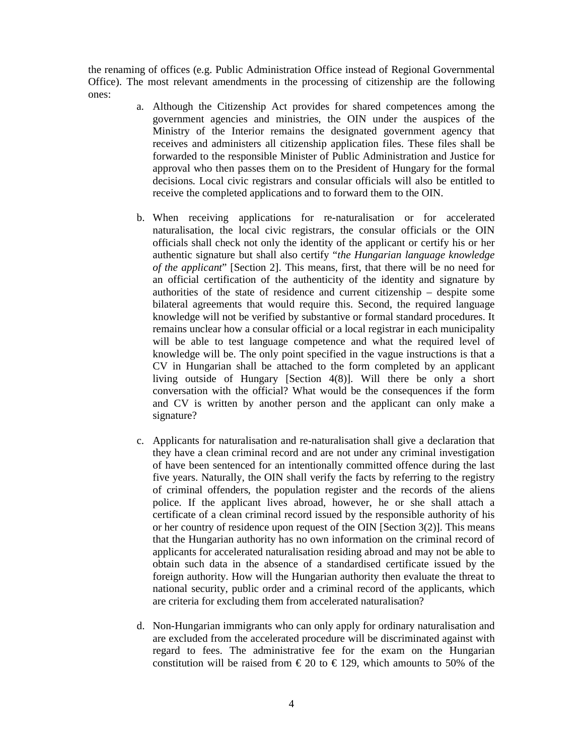the renaming of offices (e.g. Public Administration Office instead of Regional Governmental Office). The most relevant amendments in the processing of citizenship are the following ones:

- a. Although the Citizenship Act provides for shared competences among the government agencies and ministries, the OIN under the auspices of the Ministry of the Interior remains the designated government agency that receives and administers all citizenship application files. These files shall be forwarded to the responsible Minister of Public Administration and Justice for approval who then passes them on to the President of Hungary for the formal decisions. Local civic registrars and consular officials will also be entitled to receive the completed applications and to forward them to the OIN.
- b. When receiving applications for re-naturalisation or for accelerated naturalisation, the local civic registrars, the consular officials or the OIN officials shall check not only the identity of the applicant or certify his or her authentic signature but shall also certify "*the Hungarian language knowledge of the applicant*" [Section 2]. This means, first, that there will be no need for an official certification of the authenticity of the identity and signature by authorities of the state of residence and current citizenship – despite some bilateral agreements that would require this. Second, the required language knowledge will not be verified by substantive or formal standard procedures. It remains unclear how a consular official or a local registrar in each municipality will be able to test language competence and what the required level of knowledge will be. The only point specified in the vague instructions is that a CV in Hungarian shall be attached to the form completed by an applicant living outside of Hungary [Section 4(8)]. Will there be only a short conversation with the official? What would be the consequences if the form and CV is written by another person and the applicant can only make a signature?
- c. Applicants for naturalisation and re-naturalisation shall give a declaration that they have a clean criminal record and are not under any criminal investigation of have been sentenced for an intentionally committed offence during the last five years. Naturally, the OIN shall verify the facts by referring to the registry of criminal offenders, the population register and the records of the aliens police. If the applicant lives abroad, however, he or she shall attach a certificate of a clean criminal record issued by the responsible authority of his or her country of residence upon request of the OIN [Section 3(2)]. This means that the Hungarian authority has no own information on the criminal record of applicants for accelerated naturalisation residing abroad and may not be able to obtain such data in the absence of a standardised certificate issued by the foreign authority. How will the Hungarian authority then evaluate the threat to national security, public order and a criminal record of the applicants, which are criteria for excluding them from accelerated naturalisation?
- d. Non-Hungarian immigrants who can only apply for ordinary naturalisation and are excluded from the accelerated procedure will be discriminated against with regard to fees. The administrative fee for the exam on the Hungarian constitution will be raised from  $\epsilon$  20 to  $\epsilon$  129, which amounts to 50% of the